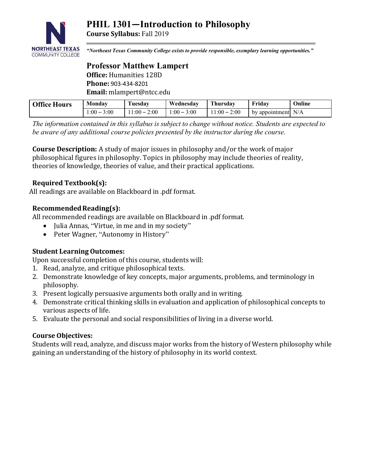

**Course Syllabus:** Fall 2019

*"Northeast Texas Community College exists to provide responsible, exemplary learning opportunities."*

## **Professor Matthew Lampert Office:** Humanities 128D **Phone:** 903-434-8201 **Email:** mlampert@ntcc.edu

| <b>Office Hours</b> | Monday         | Fuesdav       | Wednesday          | Thursdav            | Fridav                              | Online |
|---------------------|----------------|---------------|--------------------|---------------------|-------------------------------------|--------|
|                     | $:00-$<br>3:00 | $1:00 - 2:00$ | $1.00 - 1$<br>3:00 | 2:00<br>$11:00 - 2$ | $\blacksquare$ by appointment $N/A$ |        |

*The information contained in this syllabus is subject to change without notice. Students are expected to be aware of any additional course policies presented by the instructor during the course.*

**Course Description:** A study of major issues in philosophy and/or the work of major philosophical figures in philosophy. Topics in philosophy may include theories of reality, theories of knowledge, theories of value, and their practical applications.

# **Required Textbook(s):**

All readings are available on Blackboard in .pdf format.

## **Recommended Reading(s):**

All recommended readings are available on Blackboard in .pdf format.

- Julia Annas, "Virtue, in me and in my society"
- Peter Wagner, "Autonomy in History"

# **Student Learning Outcomes:**

Upon successful completion of this course, students will:

- 1. Read, analyze, and critique philosophical texts.
- 2. Demonstrate knowledge of key concepts, major arguments, problems, and terminology in philosophy.
- 3. Present logically persuasive arguments both orally and in writing.
- 4. Demonstrate critical thinking skills in evaluation and application of philosophical concepts to various aspects of life.
- 5. Evaluate the personal and social responsibilities of living in a diverse world.

#### **Course Objectives:**

Students will read, analyze, and discuss major works from the history of Western philosophy while gaining an understanding of the history of philosophy in its world context.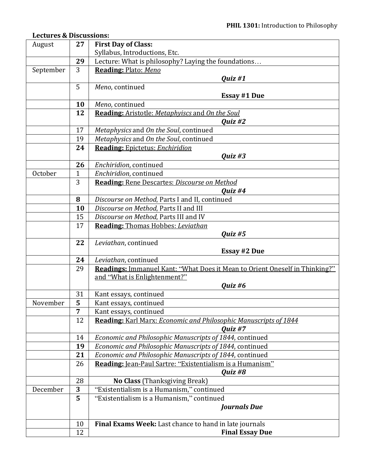# **Lectures & Discussions:**

| August    | 27             | <b>First Day of Class:</b>                                                                                 |
|-----------|----------------|------------------------------------------------------------------------------------------------------------|
|           |                | Syllabus, Introductions, Etc.                                                                              |
|           | 29             | Lecture: What is philosophy? Laying the foundations                                                        |
| September | 3              | Reading: Plato: Meno                                                                                       |
|           |                | Quiz #1                                                                                                    |
|           | 5              | Meno, continued                                                                                            |
|           |                | <b>Essay #1 Due</b>                                                                                        |
|           | 10             | Meno, continued                                                                                            |
|           | 12             | <b>Reading:</b> Aristotle: Metaphyiscs and On the Soul                                                     |
|           |                | Quiz #2                                                                                                    |
|           | 17             | Metaphysics and On the Soul, continued                                                                     |
|           | 19             | Metaphysics and On the Soul, continued                                                                     |
|           | 24             | <b>Reading: Epictetus: Enchiridion</b>                                                                     |
|           |                | <i>Quiz</i> #3                                                                                             |
|           | 26             | Enchiridion, continued                                                                                     |
| October   | $\mathbf{1}$   | Enchiridion, continued                                                                                     |
|           | 3              | <b>Reading: Rene Descartes: Discourse on Method</b>                                                        |
|           |                | Quiz #4                                                                                                    |
|           | 8              | Discourse on Method, Parts I and II, continued                                                             |
|           | 10             | Discourse on Method, Parts II and III                                                                      |
|           | 15             | Discourse on Method, Parts III and IV                                                                      |
|           | 17             | <b>Reading: Thomas Hobbes: Leviathan</b>                                                                   |
|           |                | Quiz #5                                                                                                    |
|           | 22             | Leviathan, continued                                                                                       |
|           | 24             | <b>Essay #2 Due</b>                                                                                        |
|           | 29             | Leviathan, continued<br><b>Readings:</b> Immanuel Kant: "What Does it Mean to Orient Oneself in Thinking?" |
|           |                | and "What is Enlightenment?"                                                                               |
|           |                | Quiz #6                                                                                                    |
|           | 31             | Kant essays, continued                                                                                     |
| November  | 5              | Kant essays, continued                                                                                     |
|           | $\overline{7}$ | Kant essays, continued                                                                                     |
|           | 12             | Reading: Karl Marx: Economic and Philosophic Manuscripts of 1844                                           |
|           |                | Quiz #7                                                                                                    |
|           | 14             | Economic and Philosophic Manuscripts of 1844, continued                                                    |
|           | 19             | Economic and Philosophic Manuscripts of 1844, continued                                                    |
|           | 21             | Economic and Philosophic Manuscripts of 1844, continued                                                    |
|           | 26             | Reading: Jean-Paul Sartre: "Existentialism is a Humanism"                                                  |
|           |                | Quiz #8                                                                                                    |
|           | 28             | No Class (Thanksgiving Break)                                                                              |
| December  | 3              | "Existentialism is a Humanism," continued                                                                  |
|           | 5              | "Existentialism is a Humanism," continued                                                                  |
|           |                | <b>Journals Due</b>                                                                                        |
|           |                |                                                                                                            |
|           | 10             | Final Exams Week: Last chance to hand in late journals                                                     |
|           | 12             | <b>Final Essay Due</b>                                                                                     |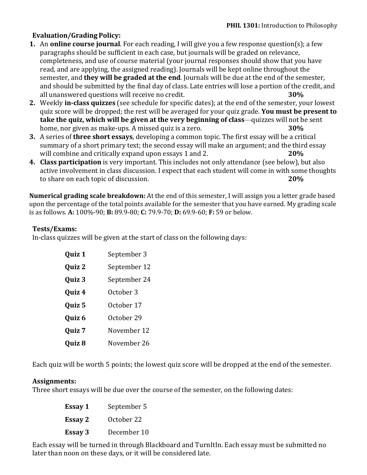# **Evaluation/Grading Policy:**

- **1.** An **online course journal**. For each reading, I will give you a few response question(s); a few paragraphs should be sufficient in each case, but journals will be graded on relevance, completeness, and use of course material (your journal responses should show that you have read, and are applying, the assigned reading). Journals will be kept online throughout the semester, and **they will be graded at the end**. Journals will be due at the end of the semester, and should be submitted by the final day of class. Late entries will lose a portion of the credit, and all unanswered questions will receive no credit. **30%**
- **2.** Weekly **in-class quizzes** (see schedule for specific dates); at the end of the semester, your lowest quiz score will be dropped; the rest will be averaged for your quiz grade. **You must be present to take the quiz, which will be given at the very beginning of class**—quizzes will not be sent home, nor given as make-ups. A missed quiz is a zero. **30%**
- **3.** A series of **three short essays**, developing a common topic. The first essay will be a critical summary of a short primary text; the second essay will make an argument; and the third essay will combine and critically expand upon essays 1 and 2. **20%**
- **4. Class participation** is very important. This includes not only attendance (see below), but also active involvement in class discussion. I expect that each student will come in with some thoughts to share on each topic of discussion. **20%**

**Numerical grading scale breakdown:** At the end of this semester, I will assign you a letter grade based upon the percentage of the total points available for the semester that you have earned. My grading scale is as follows. **A:** 100%-90; **B:** 89.9-80; **C:** 79.9-70; **D:** 69.9-60; **F:** 59 or below.

#### **Tests/Exams:**

In-class quizzes will be given at the start of class on the following days:

| Quiz 1 | September 3  |
|--------|--------------|
| Quiz 2 | September 12 |
| Quiz 3 | September 24 |
| Quiz 4 | October 3    |
| Quiz 5 | October 17   |
| Quiz 6 | October 29   |
| Quiz 7 | November 12  |
| Quiz 8 | November 26  |

Each quiz will be worth 5 points; the lowest quiz score will be dropped at the end of the semester.

#### **Assignments:**

Three short essays will be due over the course of the semester, on the following dates:

| Essay 1 | September 5 |
|---------|-------------|
| Essay 2 | October 22  |
| Essay 3 | December 10 |

Each essay will be turned in through Blackboard and TurnItIn. Each essay must be submitted no later than noon on these days, or it will be considered late.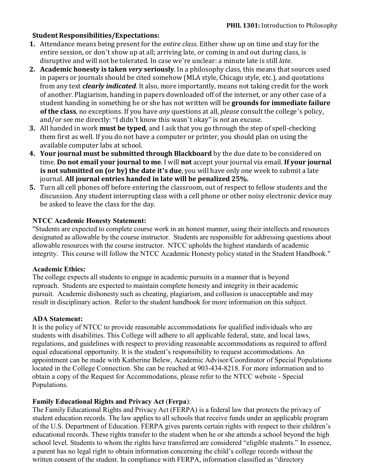## **Student Responsibilities/Expectations:**

- **1.** Attendance means being present for the *entire class*. Either show up on time and stay for the entire session, or don't show up at all; arriving late, or coming in and out during class, is disruptive and will not be tolerated. In case we're unclear: a minute late is still *late*.
- **2. Academic honesty is taken** *very* **seriously**. In a philosophy class, this means that sources used in papers or journals should be cited somehow (MLA style, Chicago style, etc.), and quotations from any text *clearly indicated*. It also, more importantly, means not taking credit for the work of another. Plagiarism, handing in papers downloaded off of the internet, or any other case of a student handing in something he or she has not written will be **grounds for immediate failure of the class**, no exceptions. If you have *any* questions at all, *please* consult the college's policy, and/or see me directly: "I didn't know this wasn't okay" is *not* an excuse.
- **3.** All handed in work **must be typed**, and I ask that you go through the step of spell-checking them first as well. If you do not have a computer or printer, you should plan on using the available computer labs at school.
- **4. Your journal must be submitted through Blackboard** by the due date to be considered on time. **Do not email your journal to me**. I will **not** accept your journal via email. **If your journal is not submitted on (or by) the date it's due**, you will have only one week to submit a late journal. **All journal entries handed in late will be penalized 25%.**
- **5.** Turn all cell phones off before entering the classroom, out of respect to fellow students and the discussion. Any student interrupting class with a cell phone or other noisy electronic device may be asked to leave the class for the day.

## **NTCC Academic Honesty Statement:**

"Students are expected to complete course work in an honest manner, using their intellects and resources designated as allowable by the course instructor. Students are responsible for addressing questions about allowable resources with the course instructor. NTCC upholds the highest standards of academic integrity. This course will follow the NTCC Academic Honesty policy stated in the Student Handbook."

#### **Academic Ethics:**

The college expects all students to engage in academic pursuits in a manner that is beyond reproach. Students are expected to maintain complete honesty and integrity in their academic pursuit. Academic dishonesty such as cheating, plagiarism, and collusion is unacceptable and may result in disciplinary action. Refer to the student handbook for more information on this subject.

#### **ADA Statement:**

It is the policy of NTCC to provide reasonable accommodations for qualified individuals who are students with disabilities. This College will adhere to all applicable federal, state, and local laws, regulations, and guidelines with respect to providing reasonable accommodations as required to afford equal educational opportunity. It is the student's responsibility to request accommodations. An appointment can be made with Katherine Belew, Academic Advisor/Coordinator of Special Populations located in the College Connection. She can be reached at 903-434-8218. For more information and to obtain a copy of the Request for Accommodations, please refer to the NTCC website - Special Populations.

#### **Family Educational Rights and Privacy Act** (**Ferpa**):

The Family Educational Rights and Privacy Act (FERPA) is a federal law that protects the privacy of student education records. The law applies to all schools that receive funds under an applicable program of the U.S. Department of Education. FERPA gives parents certain rights with respect to their children's educational records. These rights transfer to the student when he or she attends a school beyond the high school level. Students to whom the rights have transferred are considered "eligible students." In essence, a parent has no legal right to obtain information concerning the child's college records without the written consent of the student. In compliance with FERPA, information classified as "directory